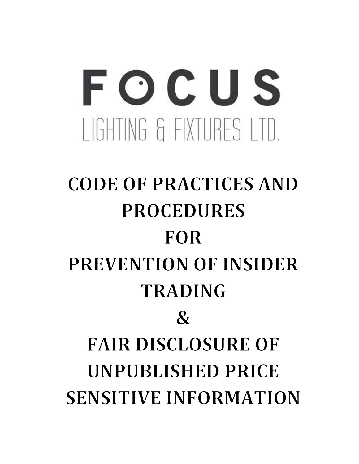# FOCUS I IGHTING & FIXTURES I TD.

# **CODE OF PRACTICES AND PROCEDURES FOR** PREVENTION OF INSIDER **TRADING**  $\mathcal{R}_{I}$ **FAIR DISCLOSURE OF UNPUBLISHED PRICE SENSITIVE INFORMATION**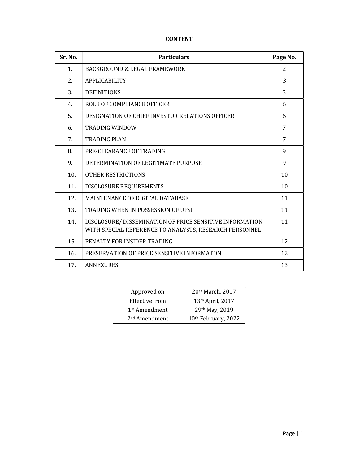# CONTENT

| Sr. No. | <b>Particulars</b>                                                                                                | Page No.       |
|---------|-------------------------------------------------------------------------------------------------------------------|----------------|
| 1.      | BACKGROUND & LEGAL FRAMEWORK                                                                                      | 2              |
| 2.      | <b>APPLICABILITY</b>                                                                                              | 3              |
| 3.      | <b>DEFINITIONS</b>                                                                                                | 3              |
| 4.      | ROLE OF COMPLIANCE OFFICER                                                                                        | 6              |
| 5.      | DESIGNATION OF CHIEF INVESTOR RELATIONS OFFICER                                                                   | 6              |
| 6.      | <b>TRADING WINDOW</b>                                                                                             | 7              |
| 7.      | <b>TRADING PLAN</b>                                                                                               | $\overline{7}$ |
| 8.      | PRE-CLEARANCE OF TRADING                                                                                          | 9              |
| 9.      | DETERMINATION OF LEGITIMATE PURPOSE                                                                               | 9              |
| 10.     | <b>OTHER RESTRICTIONS</b>                                                                                         | 10             |
| 11.     | DISCLOSURE REQUIREMENTS                                                                                           | 10             |
| 12.     | MAINTENANCE OF DIGITAL DATABASE                                                                                   | 11             |
| 13.     | TRADING WHEN IN POSSESSION OF UPSI                                                                                | 11             |
| 14.     | DISCLOSURE/DISSEMINATION OF PRICE SENSITIVE INFORMATION<br>WITH SPECIAL REFERENCE TO ANALYSTS, RESEARCH PERSONNEL | 11             |
| 15.     | PENALTY FOR INSIDER TRADING                                                                                       | 12             |
| 16.     | PRESERVATION OF PRICE SENSITIVE INFORMATON                                                                        | 12             |
| 17.     | <b>ANNEXURES</b>                                                                                                  | 13             |

| Approved on               | 20th March, 2017    |
|---------------------------|---------------------|
| Effective from            | 13th April, 2017    |
| 1 <sup>st</sup> Amendment | 29th May, 2019      |
| 2 <sup>nd</sup> Amendment | 10th February, 2022 |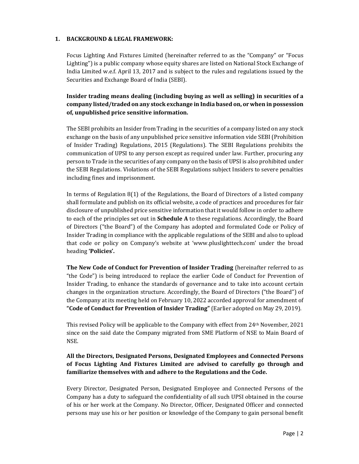# 1. BACKGROUND & LEGAL FRAMEWORK:

Focus Lighting And Fixtures Limited (hereinafter referred to as the "Company" or "Focus Lighting") is a public company whose equity shares are listed on National Stock Exchange of India Limited w.e.f. April 13, 2017 and is subject to the rules and regulations issued by the Securities and Exchange Board of India (SEBI).

Insider trading means dealing (including buying as well as selling) in securities of a company listed/traded on any stock exchange in India based on, or when in possession of, unpublished price sensitive information.

The SEBI prohibits an Insider from Trading in the securities of a company listed on any stock exchange on the basis of any unpublished price sensitive information vide SEBI (Prohibition of Insider Trading) Regulations, 2015 (Regulations). The SEBI Regulations prohibits the communication of UPSI to any person except as required under law. Further, procuring any person to Trade in the securities of any company on the basis of UPSI is also prohibited under the SEBI Regulations. Violations of the SEBI Regulations subject Insiders to severe penalties including fines and imprisonment.

In terms of Regulation 8(1) of the Regulations, the Board of Directors of a listed company shall formulate and publish on its official website, a code of practices and procedures for fair disclosure of unpublished price sensitive information that it would follow in order to adhere to each of the principles set out in **Schedule A** to these regulations. Accordingly, the Board of Directors ("the Board") of the Company has adopted and formulated Code or Policy of Insider Trading in compliance with the applicable regulations of the SEBI and also to upload that code or policy on Company's website at 'www.pluslighttech.com' under the broad heading 'Policies'.

The New Code of Conduct for Prevention of Insider Trading (hereinafter referred to as "the Code") is being introduced to replace the earlier Code of Conduct for Prevention of Insider Trading, to enhance the standards of governance and to take into account certain changes in the organization structure. Accordingly, the Board of Directors ("the Board") of the Company at its meeting held on February 10, 2022 accorded approval for amendment of "Code of Conduct for Prevention of Insider Trading" (Earlier adopted on May 29, 2019).

This revised Policy will be applicable to the Company with effect from 24th November, 2021 since on the said date the Company migrated from SME Platform of NSE to Main Board of NSE.

# All the Directors, Designated Persons, Designated Employees and Connected Persons of Focus Lighting And Fixtures Limited are advised to carefully go through and familiarize themselves with and adhere to the Regulations and the Code.

Every Director, Designated Person, Designated Employee and Connected Persons of the Company has a duty to safeguard the confidentiality of all such UPSI obtained in the course of his or her work at the Company. No Director, Officer, Designated Officer and connected persons may use his or her position or knowledge of the Company to gain personal benefit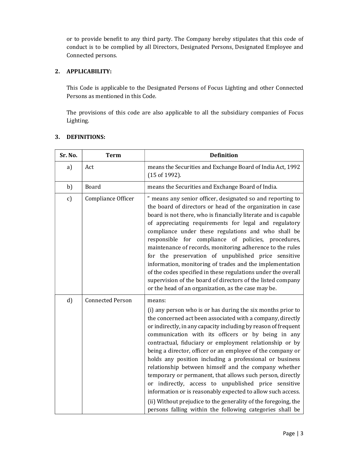or to provide benefit to any third party. The Company hereby stipulates that this code of conduct is to be complied by all Directors, Designated Persons, Designated Employee and Connected persons.

# 2. APPLICABILITY:

This Code is applicable to the Designated Persons of Focus Lighting and other Connected Persons as mentioned in this Code.

The provisions of this code are also applicable to all the subsidiary companies of Focus Lighting.

| Sr. No.      | <b>Term</b>             | <b>Definition</b>                                                                                                                                                                                                                                                                                                                                                                                                                                                                                                                                                                                                                                                                                                                                                                                                         |
|--------------|-------------------------|---------------------------------------------------------------------------------------------------------------------------------------------------------------------------------------------------------------------------------------------------------------------------------------------------------------------------------------------------------------------------------------------------------------------------------------------------------------------------------------------------------------------------------------------------------------------------------------------------------------------------------------------------------------------------------------------------------------------------------------------------------------------------------------------------------------------------|
| a)           | Act                     | means the Securities and Exchange Board of India Act, 1992<br>(15 of 1992).                                                                                                                                                                                                                                                                                                                                                                                                                                                                                                                                                                                                                                                                                                                                               |
| b)           | Board                   | means the Securities and Exchange Board of India.                                                                                                                                                                                                                                                                                                                                                                                                                                                                                                                                                                                                                                                                                                                                                                         |
| $\mathbf{c}$ | Compliance Officer      | " means any senior officer, designated so and reporting to<br>the board of directors or head of the organization in case<br>board is not there, who is financially literate and is capable<br>of appreciating requirements for legal and regulatory<br>compliance under these regulations and who shall be<br>responsible for compliance of policies, procedures,<br>maintenance of records, monitoring adherence to the rules<br>for the preservation of unpublished price sensitive<br>information, monitoring of trades and the implementation<br>of the codes specified in these regulations under the overall<br>supervision of the board of directors of the listed company<br>or the head of an organization, as the case may be.                                                                                  |
| d)           | <b>Connected Person</b> | means:<br>(i) any person who is or has during the six months prior to<br>the concerned act been associated with a company, directly<br>or indirectly, in any capacity including by reason of frequent<br>communication with its officers or by being in any<br>contractual, fiduciary or employment relationship or by<br>being a director, officer or an employee of the company or<br>holds any position including a professional or business<br>relationship between himself and the company whether<br>temporary or permanent, that allows such person, directly<br>or indirectly, access to unpublished price sensitive<br>information or is reasonably expected to allow such access.<br>(ii) Without prejudice to the generality of the foregoing, the<br>persons falling within the following categories shall be |

# 3. DEFINITIONS: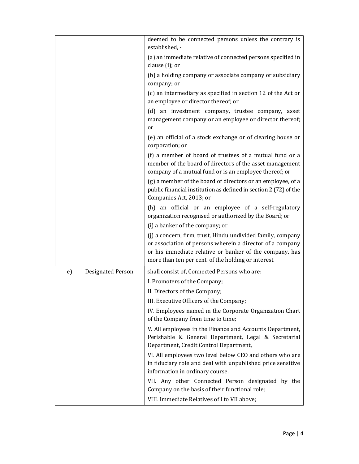|    |                          | deemed to be connected persons unless the contrary is<br>established, -                                                                                                                                                                    |
|----|--------------------------|--------------------------------------------------------------------------------------------------------------------------------------------------------------------------------------------------------------------------------------------|
|    |                          | (a) an immediate relative of connected persons specified in<br>clause (i); or                                                                                                                                                              |
|    |                          | (b) a holding company or associate company or subsidiary<br>company; or                                                                                                                                                                    |
|    |                          | (c) an intermediary as specified in section 12 of the Act or<br>an employee or director thereof; or                                                                                                                                        |
|    |                          | (d) an investment company, trustee company, asset<br>management company or an employee or director thereof;<br>or                                                                                                                          |
|    |                          | (e) an official of a stock exchange or of clearing house or<br>corporation; or                                                                                                                                                             |
|    |                          | (f) a member of board of trustees of a mutual fund or a<br>member of the board of directors of the asset management<br>company of a mutual fund or is an employee thereof; or                                                              |
|    |                          | (g) a member of the board of directors or an employee, of a<br>public financial institution as defined in section 2 (72) of the<br>Companies Act, 2013; or                                                                                 |
|    |                          | (h) an official or an employee of a self-regulatory<br>organization recognised or authorized by the Board; or<br>(i) a banker of the company; or                                                                                           |
|    |                          | (j) a concern, firm, trust, Hindu undivided family, company<br>or association of persons wherein a director of a company<br>or his immediate relative or banker of the company, has<br>more than ten per cent. of the holding or interest. |
| e) | <b>Designated Person</b> | shall consist of, Connected Persons who are:                                                                                                                                                                                               |
|    |                          | I. Promoters of the Company;                                                                                                                                                                                                               |
|    |                          | II. Directors of the Company;                                                                                                                                                                                                              |
|    |                          | III. Executive Officers of the Company;                                                                                                                                                                                                    |
|    |                          | IV. Employees named in the Corporate Organization Chart<br>of the Company from time to time;                                                                                                                                               |
|    |                          | V. All employees in the Finance and Accounts Department,<br>Perishable & General Department, Legal & Secretarial<br>Department, Credit Control Department,                                                                                 |
|    |                          | VI. All employees two level below CEO and others who are<br>in fiduciary role and deal with unpublished price sensitive<br>information in ordinary course.                                                                                 |
|    |                          | VII. Any other Connected Person designated by the<br>Company on the basis of their functional role;                                                                                                                                        |
|    |                          | VIII. Immediate Relatives of I to VII above;                                                                                                                                                                                               |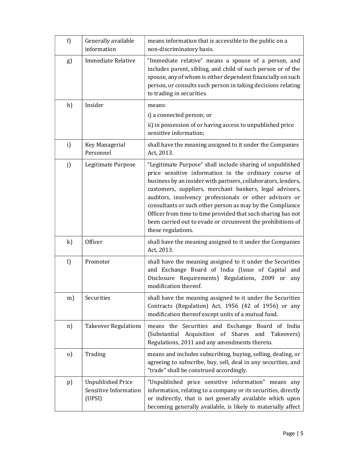| f)           | Generally available<br>information                          | means information that is accessible to the public on a<br>non-discriminatory basis.                                                                                                                                                                                                                                                                                                                                                                                                                                        |
|--------------|-------------------------------------------------------------|-----------------------------------------------------------------------------------------------------------------------------------------------------------------------------------------------------------------------------------------------------------------------------------------------------------------------------------------------------------------------------------------------------------------------------------------------------------------------------------------------------------------------------|
| g)           | <b>Immediate Relative</b>                                   | "Immediate relative" means a spouse of a person, and<br>includes parent, sibling, and child of such person or of the<br>spouse, any of whom is either dependent financially on such<br>person, or consults such person in taking decisions relating<br>to trading in securities.                                                                                                                                                                                                                                            |
| h)           | Insider                                                     | means:                                                                                                                                                                                                                                                                                                                                                                                                                                                                                                                      |
|              |                                                             | i) a connected person; or                                                                                                                                                                                                                                                                                                                                                                                                                                                                                                   |
|              |                                                             | ii) in possession of or having access to unpublished price<br>sensitive information;                                                                                                                                                                                                                                                                                                                                                                                                                                        |
| i)           | Key Managerial<br>Personnel                                 | shall have the meaning assigned to it under the Companies<br>Act, 2013.                                                                                                                                                                                                                                                                                                                                                                                                                                                     |
| j)           | Legitimate Purpose                                          | "Legitimate Purpose" shall include sharing of unpublished<br>price sensitive information in the ordinary course of<br>business by an insider with partners, collaborators, lenders,<br>customers, suppliers, merchant bankers, legal advisors,<br>auditors, insolvency professionals or other advisors or<br>consultants or such other person as may by the Compliance<br>Officer from time to time provided that such sharing has not<br>been carried out to evade or circumvent the prohibitions of<br>these regulations. |
| k)           | Officer                                                     | shall have the meaning assigned to it under the Companies<br>Act, 2013.                                                                                                                                                                                                                                                                                                                                                                                                                                                     |
| $\mathbf{l}$ | Promoter                                                    | shall have the meaning assigned to it under the Securities<br>and Exchange Board of India (Issue of Capital and<br>Disclosure Requirements) Regulations, 2009 or<br>any<br>modification thereof.                                                                                                                                                                                                                                                                                                                            |
| m)           | Securities                                                  | shall have the meaning assigned to it under the Securities<br>Contracts (Regulation) Act, 1956 (42 of 1956) or any<br>modification thereof except units of a mutual fund.                                                                                                                                                                                                                                                                                                                                                   |
| n)           | <b>Takeover Regulations</b>                                 | means the Securities and Exchange Board of India<br>(Substantial Acquisition of Shares and Takeovers)<br>Regulations, 2011 and any amendments thereto.                                                                                                                                                                                                                                                                                                                                                                      |
| $\Omega$     | Trading                                                     | means and includes subscribing, buying, selling, dealing, or<br>agreeing to subscribe, buy, sell, deal in any securities, and<br>"trade" shall be construed accordingly.                                                                                                                                                                                                                                                                                                                                                    |
| $p$ )        | <b>Unpublished Price</b><br>Sensitive Information<br>(UPSI) | "Unpublished price sensitive information" means any<br>information, relating to a company or its securities, directly<br>or indirectly, that is not generally available which upon<br>becoming generally available, is likely to materially affect                                                                                                                                                                                                                                                                          |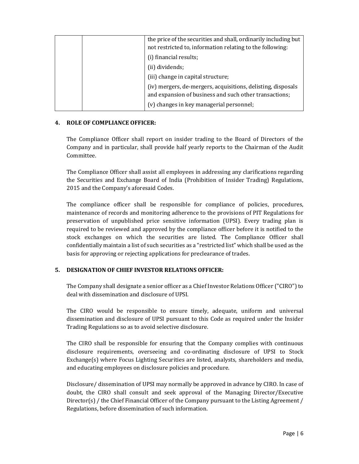|  | the price of the securities and shall, ordinarily including but<br>not restricted to, information relating to the following: |
|--|------------------------------------------------------------------------------------------------------------------------------|
|  | (i) financial results;                                                                                                       |
|  | (ii) dividends;                                                                                                              |
|  | (iii) change in capital structure;                                                                                           |
|  | (iv) mergers, de-mergers, acquisitions, delisting, disposals<br>and expansion of business and such other transactions;       |
|  | (v) changes in key managerial personnel;                                                                                     |

# 4. ROLE OF COMPLIANCE OFFICER:

The Compliance Officer shall report on insider trading to the Board of Directors of the Company and in particular, shall provide half yearly reports to the Chairman of the Audit Committee.

The Compliance Officer shall assist all employees in addressing any clarifications regarding the Securities and Exchange Board of India (Prohibition of Insider Trading) Regulations, 2015 and the Company's aforesaid Codes.

The compliance officer shall be responsible for compliance of policies, procedures, maintenance of records and monitoring adherence to the provisions of PIT Regulations for preservation of unpublished price sensitive information (UPSI). Every trading plan is required to be reviewed and approved by the compliance officer before it is notified to the stock exchanges on which the securities are listed. The Compliance Officer shall confidentially maintain a list of such securities as a "restricted list" which shall be used as the basis for approving or rejecting applications for preclearance of trades.

# 5. DESIGNATION OF CHIEF INVESTOR RELATIONS OFFICER:

The Company shall designate a senior officer as a Chief Investor Relations Officer ("CIRO") to deal with dissemination and disclosure of UPSI.

The CIRO would be responsible to ensure timely, adequate, uniform and universal dissemination and disclosure of UPSI pursuant to this Code as required under the Insider Trading Regulations so as to avoid selective disclosure.

The CIRO shall be responsible for ensuring that the Company complies with continuous disclosure requirements, overseeing and co-ordinating disclosure of UPSI to Stock Exchange(s) where Focus Lighting Securities are listed, analysts, shareholders and media, and educating employees on disclosure policies and procedure.

Disclosure/ dissemination of UPSI may normally be approved in advance by CIRO. In case of doubt, the CIRO shall consult and seek approval of the Managing Director/Executive Director(s) / the Chief Financial Officer of the Company pursuant to the Listing Agreement / Regulations, before dissemination of such information.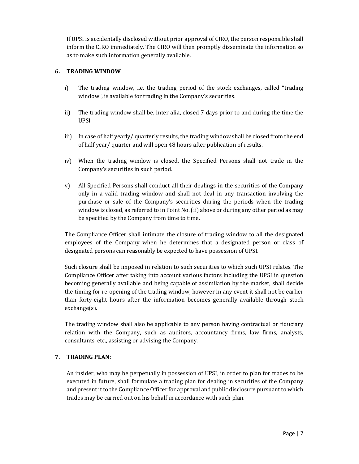If UPSI is accidentally disclosed without prior approval of CIRO, the person responsible shall inform the CIRO immediately. The CIRO will then promptly disseminate the information so as to make such information generally available.

# 6. TRADING WINDOW

- i) The trading window, i.e. the trading period of the stock exchanges, called "trading window", is available for trading in the Company's securities.
- ii) The trading window shall be, inter alia, closed 7 days prior to and during the time the UPSI.
- iii) In case of half yearly/ quarterly results, the trading window shall be closed from the end of half year/ quarter and will open 48 hours after publication of results.
- iv) When the trading window is closed, the Specified Persons shall not trade in the Company's securities in such period.
- v) All Specified Persons shall conduct all their dealings in the securities of the Company only in a valid trading window and shall not deal in any transaction involving the purchase or sale of the Company's securities during the periods when the trading window is closed, as referred to in Point No. (ii) above or during any other period as may be specified by the Company from time to time.

The Compliance Officer shall intimate the closure of trading window to all the designated employees of the Company when he determines that a designated person or class of designated persons can reasonably be expected to have possession of UPSI.

Such closure shall be imposed in relation to such securities to which such UPSI relates. The Compliance Officer after taking into account various factors including the UPSI in question becoming generally available and being capable of assimilation by the market, shall decide the timing for re-opening of the trading window, however in any event it shall not be earlier than forty-eight hours after the information becomes generally available through stock exchange(s).

The trading window shall also be applicable to any person having contractual or fiduciary relation with the Company, such as auditors, accountancy firms, law firms, analysts, consultants, etc., assisting or advising the Company.

# 7. TRADING PLAN:

An insider, who may be perpetually in possession of UPSI, in order to plan for trades to be executed in future, shall formulate a trading plan for dealing in securities of the Company and present it to the Compliance Officer for approval and public disclosure pursuant to which trades may be carried out on his behalf in accordance with such plan.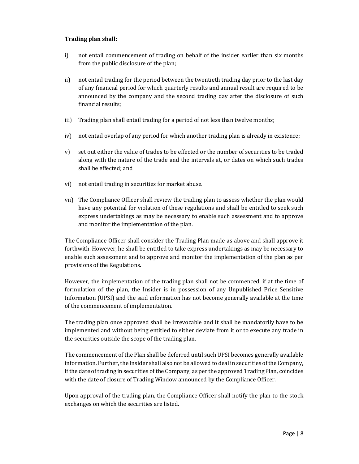# Trading plan shall:

- i) not entail commencement of trading on behalf of the insider earlier than six months from the public disclosure of the plan;
- ii) not entail trading for the period between the twentieth trading day prior to the last day of any financial period for which quarterly results and annual result are required to be announced by the company and the second trading day after the disclosure of such financial results;
- iii) Trading plan shall entail trading for a period of not less than twelve months;
- iv) not entail overlap of any period for which another trading plan is already in existence;
- v) set out either the value of trades to be effected or the number of securities to be traded along with the nature of the trade and the intervals at, or dates on which such trades shall be effected; and
- vi) not entail trading in securities for market abuse.
- vii) The Compliance Officer shall review the trading plan to assess whether the plan would have any potential for violation of these regulations and shall be entitled to seek such express undertakings as may be necessary to enable such assessment and to approve and monitor the implementation of the plan.

The Compliance Officer shall consider the Trading Plan made as above and shall approve it forthwith. However, he shall be entitled to take express undertakings as may be necessary to enable such assessment and to approve and monitor the implementation of the plan as per provisions of the Regulations.

However, the implementation of the trading plan shall not be commenced, if at the time of formulation of the plan, the Insider is in possession of any Unpublished Price Sensitive Information (UPSI) and the said information has not become generally available at the time of the commencement of implementation.

The trading plan once approved shall be irrevocable and it shall be mandatorily have to be implemented and without being entitled to either deviate from it or to execute any trade in the securities outside the scope of the trading plan.

The commencement of the Plan shall be deferred until such UPSI becomes generally available information. Further, the Insider shall also not be allowed to deal in securities of the Company, if the date of trading in securities of the Company, as per the approved Trading Plan, coincides with the date of closure of Trading Window announced by the Compliance Officer.

Upon approval of the trading plan, the Compliance Officer shall notify the plan to the stock exchanges on which the securities are listed.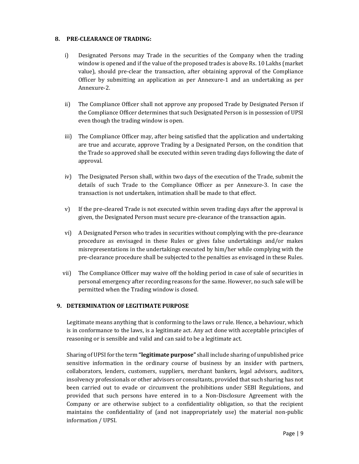# 8. PRE-CLEARANCE OF TRADING:

- i) Designated Persons may Trade in the securities of the Company when the trading window is opened and if the value of the proposed trades is above Rs. 10 Lakhs (market value), should pre-clear the transaction, after obtaining approval of the Compliance Officer by submitting an application as per Annexure-1 and an undertaking as per Annexure-2.
- ii) The Compliance Officer shall not approve any proposed Trade by Designated Person if the Compliance Officer determines that such Designated Person is in possession of UPSI even though the trading window is open.
- iii) The Compliance Officer may, after being satisfied that the application and undertaking are true and accurate, approve Trading by a Designated Person, on the condition that the Trade so approved shall be executed within seven trading days following the date of approval.
- iv) The Designated Person shall, within two days of the execution of the Trade, submit the details of such Trade to the Compliance Officer as per Annexure-3. In case the transaction is not undertaken, intimation shall be made to that effect.
- v) If the pre-cleared Trade is not executed within seven trading days after the approval is given, the Designated Person must secure pre-clearance of the transaction again.
- vi) A Designated Person who trades in securities without complying with the pre-clearance procedure as envisaged in these Rules or gives false undertakings and/or makes misrepresentations in the undertakings executed by him/her while complying with the pre-clearance procedure shall be subjected to the penalties as envisaged in these Rules.
- vii) The Compliance Officer may waive off the holding period in case of sale of securities in personal emergency after recording reasons for the same. However, no such sale will be permitted when the Trading window is closed.

# 9. DETERMINATION OF LEGITIMATE PURPOSE

Legitimate means anything that is conforming to the laws or rule. Hence, a behaviour, which is in conformance to the laws, is a legitimate act. Any act done with acceptable principles of reasoning or is sensible and valid and can said to be a legitimate act.

Sharing of UPSI for the term "legitimate purpose" shall include sharing of unpublished price sensitive information in the ordinary course of business by an insider with partners, collaborators, lenders, customers, suppliers, merchant bankers, legal advisors, auditors, insolvency professionals or other advisors or consultants, provided that such sharing has not been carried out to evade or circumvent the prohibitions under SEBI Regulations, and provided that such persons have entered in to a Non-Disclosure Agreement with the Company or are otherwise subject to a confidentiality obligation, so that the recipient maintains the confidentiality of (and not inappropriately use) the material non-public information / UPSI.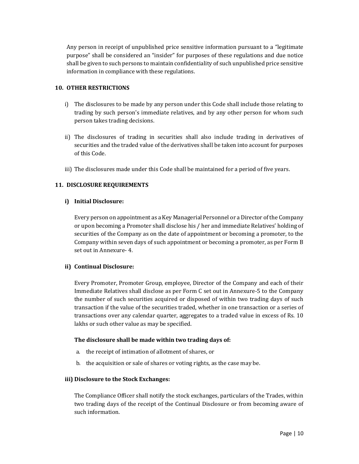Any person in receipt of unpublished price sensitive information pursuant to a "legitimate purpose" shall be considered an "insider" for purposes of these regulations and due notice shall be given to such persons to maintain confidentiality of such unpublished price sensitive information in compliance with these regulations.

#### 10. OTHER RESTRICTIONS

- i) The disclosures to be made by any person under this Code shall include those relating to trading by such person's immediate relatives, and by any other person for whom such person takes trading decisions.
- ii) The disclosures of trading in securities shall also include trading in derivatives of securities and the traded value of the derivatives shall be taken into account for purposes of this Code.
- iii) The disclosures made under this Code shall be maintained for a period of five years.

# 11. DISCLOSURE REQUIREMENTS

# i) Initial Disclosure:

Every person on appointment as a Key Managerial Personnel or a Director of the Company or upon becoming a Promoter shall disclose his / her and immediate Relatives' holding of securities of the Company as on the date of appointment or becoming a promoter, to the Company within seven days of such appointment or becoming a promoter, as per Form B set out in Annexure- 4.

# ii) Continual Disclosure:

Every Promoter, Promoter Group, employee, Director of the Company and each of their Immediate Relatives shall disclose as per Form C set out in Annexure-5 to the Company the number of such securities acquired or disposed of within two trading days of such transaction if the value of the securities traded, whether in one transaction or a series of transactions over any calendar quarter, aggregates to a traded value in excess of Rs. 10 lakhs or such other value as may be specified.

# The disclosure shall be made within two trading days of:

- a. the receipt of intimation of allotment of shares, or
- b. the acquisition or sale of shares or voting rights, as the case may be.

#### iii) Disclosure to the Stock Exchanges:

The Compliance Officer shall notify the stock exchanges, particulars of the Trades, within two trading days of the receipt of the Continual Disclosure or from becoming aware of such information.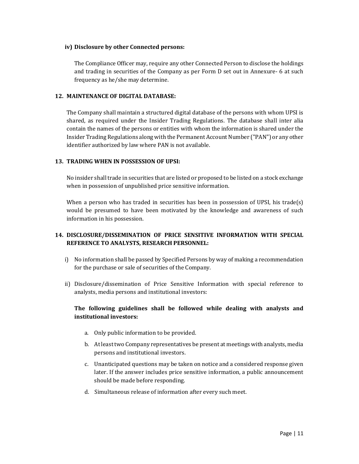#### iv) Disclosure by other Connected persons:

The Compliance Officer may, require any other Connected Person to disclose the holdings and trading in securities of the Company as per Form D set out in Annexure- 6 at such frequency as he/she may determine.

#### 12. MAINTENANCE OF DIGITAL DATABASE:

The Company shall maintain a structured digital database of the persons with whom UPSI is shared, as required under the Insider Trading Regulations. The database shall inter alia contain the names of the persons or entities with whom the information is shared under the Insider Trading Regulations along with the Permanent Account Number ("PAN") or any other identifier authorized by law where PAN is not available.

# 13. TRADING WHEN IN POSSESSION OF UPSI:

No insider shall trade in securities that are listed or proposed to be listed on a stock exchange when in possession of unpublished price sensitive information.

When a person who has traded in securities has been in possession of UPSI, his trade(s) would be presumed to have been motivated by the knowledge and awareness of such information in his possession.

# 14. DISCLOSURE/DISSEMINATION OF PRICE SENSITIVE INFORMATION WITH SPECIAL REFERENCE TO ANALYSTS, RESEARCH PERSONNEL:

- i) No information shall be passed by Specified Persons by way of making a recommendation for the purchase or sale of securities of the Company.
- ii) Disclosure/dissemination of Price Sensitive Information with special reference to analysts, media persons and institutional investors:

# The following guidelines shall be followed while dealing with analysts and institutional investors:

- a. Only public information to be provided.
- b. At least two Company representatives be present at meetings with analysts, media persons and institutional investors.
- c. Unanticipated questions may be taken on notice and a considered response given later. If the answer includes price sensitive information, a public announcement should be made before responding.
- d. Simultaneous release of information after every such meet.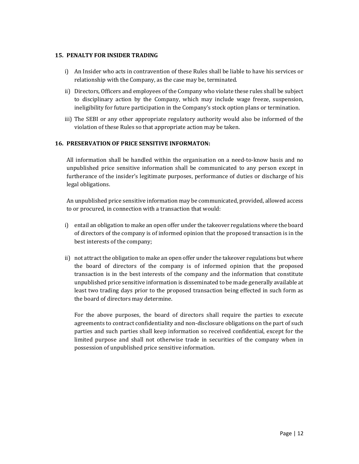# 15. PENALTY FOR INSIDER TRADING

- i) An Insider who acts in contravention of these Rules shall be liable to have his services or relationship with the Company, as the case may be, terminated.
- ii) Directors, Officers and employees of the Company who violate these rules shall be subject to disciplinary action by the Company, which may include wage freeze, suspension, ineligibility for future participation in the Company's stock option plans or termination.
- iii) The SEBI or any other appropriate regulatory authority would also be informed of the violation of these Rules so that appropriate action may be taken.

# 16. PRESERVATION OF PRICE SENSITIVE INFORMATON:

All information shall be handled within the organisation on a need-to-know basis and no unpublished price sensitive information shall be communicated to any person except in furtherance of the insider's legitimate purposes, performance of duties or discharge of his legal obligations.

An unpublished price sensitive information may be communicated, provided, allowed access to or procured, in connection with a transaction that would:

- i) entail an obligation to make an open offer under the takeover regulations where the board of directors of the company is of informed opinion that the proposed transaction is in the best interests of the company;
- ii) not attract the obligation to make an open offer under the takeover regulations but where the board of directors of the company is of informed opinion that the proposed transaction is in the best interests of the company and the information that constitute unpublished price sensitive information is disseminated to be made generally available at least two trading days prior to the proposed transaction being effected in such form as the board of directors may determine.

For the above purposes, the board of directors shall require the parties to execute agreements to contract confidentiality and non-disclosure obligations on the part of such parties and such parties shall keep information so received confidential, except for the limited purpose and shall not otherwise trade in securities of the company when in possession of unpublished price sensitive information.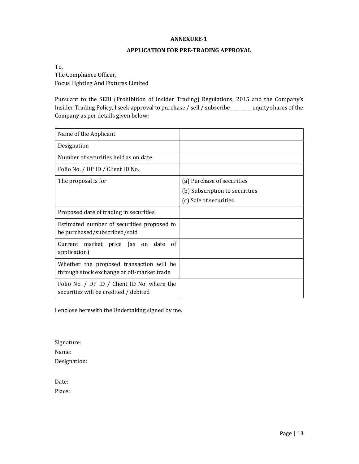#### APPLICATION FOR PRE-TRADING APPROVAL

To, The Compliance Officer,

Focus Lighting And Fixtures Limited

Pursuant to the SEBI (Prohibition of Insider Trading) Regulations, 2015 and the Company's Insider Trading Policy, I seek approval to purchase / sell / subscribe \_\_\_\_\_\_\_\_\_ equity shares of the Company as per details given below:

| Name of the Applicant                                                                  |                                |
|----------------------------------------------------------------------------------------|--------------------------------|
| Designation                                                                            |                                |
| Number of securities held as on date                                                   |                                |
| Folio No. / DP ID / Client ID No.                                                      |                                |
| The proposal is for                                                                    | (a) Purchase of securities     |
|                                                                                        | (b) Subscription to securities |
|                                                                                        | (c) Sale of securities         |
| Proposed date of trading in securities                                                 |                                |
| Estimated number of securities proposed to<br>be purchased/subscribed/sold             |                                |
| Current market price (as on date of<br>application)                                    |                                |
| Whether the proposed transaction will be<br>through stock exchange or off-market trade |                                |
| Folio No. / DP ID / Client ID No. where the<br>securities will be credited / debited   |                                |

I enclose herewith the Undertaking signed by me.

Signature: Name: Designation:

Date:

Place: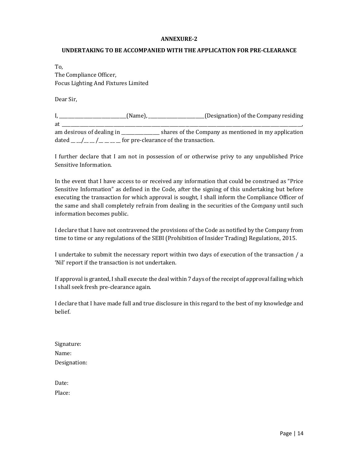#### UNDERTAKING TO BE ACCOMPANIED WITH THE APPLICATION FOR PRE-CLEARANCE

To, The Compliance Officer, Focus Lighting And Fixtures Limited

Dear Sir,

|                           | (Name),                               | (Designation) of the Company residing                |
|---------------------------|---------------------------------------|------------------------------------------------------|
| -at                       |                                       |                                                      |
| am desirous of dealing in |                                       | shares of the Company as mentioned in my application |
| dated                     | for pre-clearance of the transaction. |                                                      |

I further declare that I am not in possession of or otherwise privy to any unpublished Price Sensitive Information.

In the event that I have access to or received any information that could be construed as "Price Sensitive Information" as defined in the Code, after the signing of this undertaking but before executing the transaction for which approval is sought, I shall inform the Compliance Officer of the same and shall completely refrain from dealing in the securities of the Company until such information becomes public.

I declare that I have not contravened the provisions of the Code as notified by the Company from time to time or any regulations of the SEBI (Prohibition of Insider Trading) Regulations, 2015.

I undertake to submit the necessary report within two days of execution of the transaction / a 'Nil' report if the transaction is not undertaken.

If approval is granted, I shall execute the deal within 7 days of the receipt of approval failing which I shall seek fresh pre-clearance again.

I declare that I have made full and true disclosure in this regard to the best of my knowledge and belief.

| Signature:   |  |
|--------------|--|
| Name:        |  |
| Designation: |  |

Date: Place: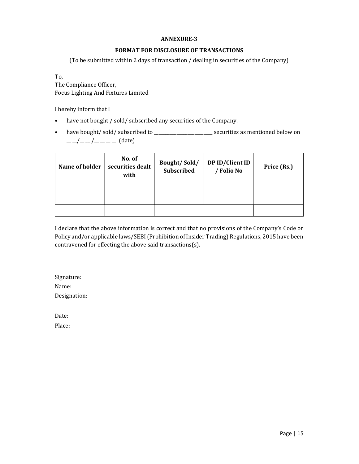# FORMAT FOR DISCLOSURE OF TRANSACTIONS

(To be submitted within 2 days of transaction / dealing in securities of the Company)

To,

The Compliance Officer, Focus Lighting And Fixtures Limited

I hereby inform that I

- have not bought / sold/ subscribed any securities of the Company.
- have bought/sold/subscribed to \_\_\_\_\_\_\_\_\_\_\_\_\_\_\_\_\_\_\_\_\_\_\_\_\_ securities as mentioned below on  $\frac{1}{2}$  \_\_/\_ \_ /\_ \_ \_ \_ (date)

| Name of holder | No. of<br>securities dealt<br>with | Bought/Sold/<br><b>Subscribed</b> | DP ID/Client ID<br>/ Folio No | Price (Rs.) |  |  |
|----------------|------------------------------------|-----------------------------------|-------------------------------|-------------|--|--|
|                |                                    |                                   |                               |             |  |  |
|                |                                    |                                   |                               |             |  |  |
|                |                                    |                                   |                               |             |  |  |

I declare that the above information is correct and that no provisions of the Company's Code or Policy and/or applicable laws/SEBI (Prohibition of Insider Trading) Regulations, 2015 have been contravened for effecting the above said transactions(s).

Signature: Name: Designation:

Date:

Place: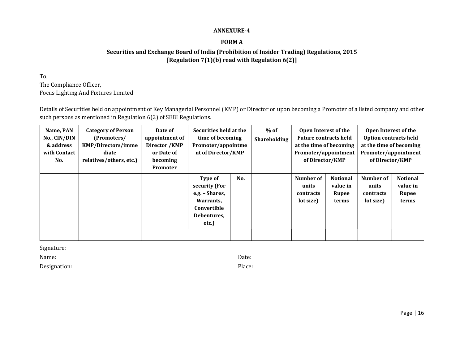# FORM A

# Securities and Exchange Board of India (Prohibition of Insider Trading) Regulations, 2015 [Regulation 7(1)(b) read with Regulation 6(2)]

To, The Compliance Officer, Focus Lighting And Fixtures Limited

Details of Securities held on appointment of Key Managerial Personnel (KMP) or Director or upon becoming a Promoter of a listed company and other such persons as mentioned in Regulation 6(2) of SEBI Regulations.

| Name, PAN<br>No., CIN/DIN<br>& address<br>with Contact<br>No. | <b>Category of Person</b><br>(Promoters/<br><b>KMP/Directors/imme</b><br>diate<br>relatives/others, etc.) | Date of<br>appointment of<br>Director / KMP<br>or Date of<br>becoming<br>Promoter | Securities held at the<br>time of becoming<br>Promoter/appointme<br>nt of Director/KMP                |  | $%$ of<br><b>Shareholding</b> | Open Interest of the<br><b>Future contracts held</b><br>at the time of becoming<br>Promoter/appointment<br>of Director/KMP |                                               | Open Interest of the<br><b>Option contracts held</b><br>at the time of becoming<br>Promoter/appointment<br>of Director/KMP |                                               |
|---------------------------------------------------------------|-----------------------------------------------------------------------------------------------------------|-----------------------------------------------------------------------------------|-------------------------------------------------------------------------------------------------------|--|-------------------------------|----------------------------------------------------------------------------------------------------------------------------|-----------------------------------------------|----------------------------------------------------------------------------------------------------------------------------|-----------------------------------------------|
|                                                               |                                                                                                           |                                                                                   | No.<br>Type of<br>security (For<br>e.g. – Shares,<br>Warrants.<br>Convertible<br>Debentures,<br>etc.) |  |                               | Number of<br>units<br>contracts<br>lot size)                                                                               | <b>Notional</b><br>value in<br>Rupee<br>terms | Number of<br>units<br>contracts<br>lot size)                                                                               | <b>Notional</b><br>value in<br>Rupee<br>terms |
|                                                               |                                                                                                           |                                                                                   |                                                                                                       |  |                               |                                                                                                                            |                                               |                                                                                                                            |                                               |

Signature:

Name: Date:

Designation: Place:

Page | 16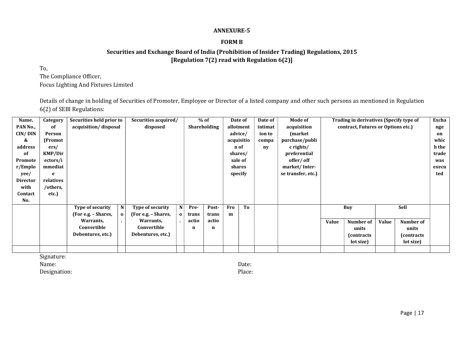# FORM B

# Securities and Exchange Board of India (Prohibition of Insider Trading) Regulations, 2015 [Regulation 7(2) read with Regulation 6(2)]

To,

The Compliance Officer,

Focus Lighting And Fixtures Limited

Details of change in holding of Securities of Promoter, Employee or Director of a listed company and other such persons as mentioned in Regulation 6(2) of SEBI Regulations:

| Name,           | Category       | Securities held prior to |              | Securities acquired/ |          |       | $%$ of              |            | Date of    | Date of | Mode of            |              | Trading in derivatives (Specify type of |       |             | Excha |
|-----------------|----------------|--------------------------|--------------|----------------------|----------|-------|---------------------|------------|------------|---------|--------------------|--------------|-----------------------------------------|-------|-------------|-------|
| PAN No.,        | of             | acquisition/disposal     |              | disposed             |          |       | <b>Shareholding</b> |            | allotment  | intimat | acquisition        |              | contract, Futures or Options etc.)      |       |             | nge   |
| CIN/DIN         | Person         |                          |              |                      |          |       |                     |            | advice/    | ion to  | (market)           |              |                                         |       |             | on    |
| &               | (Promot        |                          |              |                      |          |       |                     |            | acquisitio | compa   | purchase/publi     |              |                                         |       |             | whic  |
| address         | ers/           |                          |              |                      |          |       |                     |            | n of       | ny      | $c$ rights/        |              |                                         |       |             | h the |
| of              | <b>KMP/Dir</b> |                          |              |                      |          |       |                     | shares/    |            |         | preferential       |              |                                         |       | trade       |       |
| Promote         | ectors/i       |                          |              |                      |          |       |                     |            | sale of    |         | offer/off          |              |                                         |       | was         |       |
| r/Emplo         | mmediat        |                          |              |                      |          |       |                     |            | shares     |         | market/Inter-      |              |                                         |       | execu       |       |
| yee/            | e              |                          |              |                      |          |       |                     |            | specify    |         | se transfer, etc.) |              |                                         |       |             | ted   |
| <b>Director</b> | relatives      |                          |              |                      |          |       |                     |            |            |         |                    |              |                                         |       |             |       |
| with            | /others,       |                          |              |                      |          |       |                     |            |            |         |                    |              |                                         |       |             |       |
| Contact         | etc.)          |                          |              |                      |          |       |                     |            |            |         |                    |              |                                         |       |             |       |
| No.             |                |                          |              |                      |          |       |                     |            |            |         |                    |              |                                         |       |             |       |
|                 |                | Type of security         | N            | Type of security     |          | Pre-  | Post-               | <b>Fro</b> | To         |         |                    |              | Buy                                     |       | Sell        |       |
|                 |                | (For e.g. – Shares,      | $\mathbf{o}$ | (For e.g. – Shares,  | $\Omega$ | trans | trans               | m          |            |         |                    |              |                                         |       |             |       |
|                 |                | Warrants,                | п.           | Warrants,            |          | actio | actio               |            |            |         |                    | <b>Value</b> | Number of                               | Value | Number of   |       |
|                 |                | Convertible              |              | Convertible          |          | n     | n                   |            |            |         |                    |              | units                                   |       | units       |       |
|                 |                | Debentures, etc.)        |              | Debentures, etc.)    |          |       |                     |            |            |         |                    |              | (contracts)                             |       | (contracts) |       |
|                 |                |                          |              |                      |          |       |                     |            |            |         |                    |              | lot size)                               |       | lot size)   |       |
|                 |                |                          |              |                      |          |       |                     |            |            |         |                    |              |                                         |       |             |       |

Signature:

Designation: Place:

Name: Date: